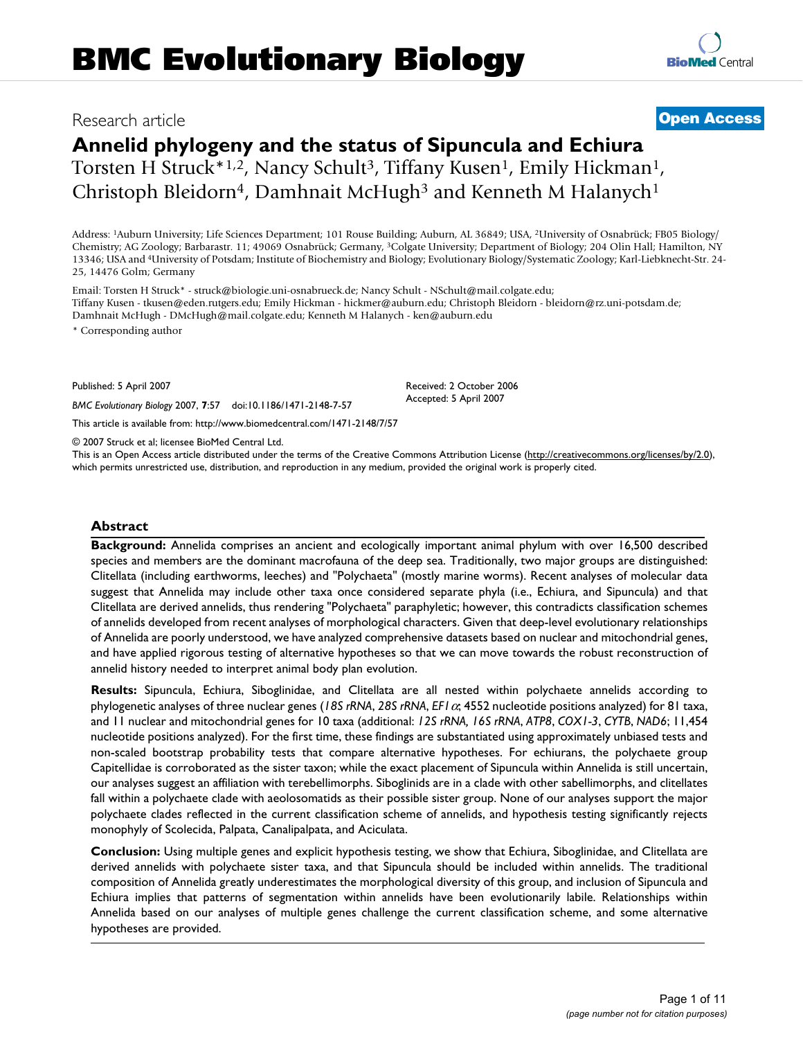# **Annelid phylogeny and the status of Sipuncula and Echiura**

Torsten H Struck\*<sup>1,2</sup>, Nancy Schult<sup>3</sup>, Tiffany Kusen<sup>1</sup>, Emily Hickman<sup>1</sup>, Christoph Bleidorn<sup>4</sup>, Damhnait McHugh<sup>3</sup> and Kenneth M Halanych<sup>1</sup>

Address: 1Auburn University; Life Sciences Department; 101 Rouse Building; Auburn, AL 36849; USA, 2University of Osnabrück; FB05 Biology/ Chemistry; AG Zoology; Barbarastr. 11; 49069 Osnabrück; Germany, 3Colgate University; Department of Biology; 204 Olin Hall; Hamilton, NY 13346; USA and 4University of Potsdam; Institute of Biochemistry and Biology; Evolutionary Biology/Systematic Zoology; Karl-Liebknecht-Str. 24- 25, 14476 Golm; Germany

Email: Torsten H Struck\* - struck@biologie.uni-osnabrueck.de; Nancy Schult - NSchult@mail.colgate.edu; Tiffany Kusen - tkusen@eden.rutgers.edu; Emily Hickman - hickmer@auburn.edu; Christoph Bleidorn - bleidorn@rz.uni-potsdam.de; Damhnait McHugh - DMcHugh@mail.colgate.edu; Kenneth M Halanych - ken@auburn.edu

\* Corresponding author

Published: 5 April 2007

*BMC Evolutionary Biology* 2007, **7**:57 doi:10.1186/1471-2148-7-57

[This article is available from: http://www.biomedcentral.com/1471-2148/7/57](http://www.biomedcentral.com/1471-2148/7/57)

© 2007 Struck et al; licensee BioMed Central Ltd.

This is an Open Access article distributed under the terms of the Creative Commons Attribution License [\(http://creativecommons.org/licenses/by/2.0\)](http://creativecommons.org/licenses/by/2.0), which permits unrestricted use, distribution, and reproduction in any medium, provided the original work is properly cited.

#### **Abstract**

**Background:** Annelida comprises an ancient and ecologically important animal phylum with over 16,500 described species and members are the dominant macrofauna of the deep sea. Traditionally, two major groups are distinguished: Clitellata (including earthworms, leeches) and "Polychaeta" (mostly marine worms). Recent analyses of molecular data suggest that Annelida may include other taxa once considered separate phyla (i.e., Echiura, and Sipuncula) and that Clitellata are derived annelids, thus rendering "Polychaeta" paraphyletic; however, this contradicts classification schemes of annelids developed from recent analyses of morphological characters. Given that deep-level evolutionary relationships of Annelida are poorly understood, we have analyzed comprehensive datasets based on nuclear and mitochondrial genes, and have applied rigorous testing of alternative hypotheses so that we can move towards the robust reconstruction of annelid history needed to interpret animal body plan evolution.

**Results:** Sipuncula, Echiura, Siboglinidae, and Clitellata are all nested within polychaete annelids according to phylogenetic analyses of three nuclear genes (*18S rRNA*, *28S rRNA*, *EF1*α; 4552 nucleotide positions analyzed) for 81 taxa, and 11 nuclear and mitochondrial genes for 10 taxa (additional: *12S rRNA, 16S rRNA*, *ATP8*, *COX1-3*, *CYTB*, *NAD6*; 11,454 nucleotide positions analyzed). For the first time, these findings are substantiated using approximately unbiased tests and non-scaled bootstrap probability tests that compare alternative hypotheses. For echiurans, the polychaete group Capitellidae is corroborated as the sister taxon; while the exact placement of Sipuncula within Annelida is still uncertain, our analyses suggest an affiliation with terebellimorphs. Siboglinids are in a clade with other sabellimorphs, and clitellates fall within a polychaete clade with aeolosomatids as their possible sister group. None of our analyses support the major polychaete clades reflected in the current classification scheme of annelids, and hypothesis testing significantly rejects monophyly of Scolecida, Palpata, Canalipalpata, and Aciculata.

**Conclusion:** Using multiple genes and explicit hypothesis testing, we show that Echiura, Siboglinidae, and Clitellata are derived annelids with polychaete sister taxa, and that Sipuncula should be included within annelids. The traditional composition of Annelida greatly underestimates the morphological diversity of this group, and inclusion of Sipuncula and Echiura implies that patterns of segmentation within annelids have been evolutionarily labile. Relationships within Annelida based on our analyses of multiple genes challenge the current classification scheme, and some alternative hypotheses are provided.

# Research article **[Open Access](http://www.biomedcentral.com/info/about/charter/)**

Received: 2 October 2006 Accepted: 5 April 2007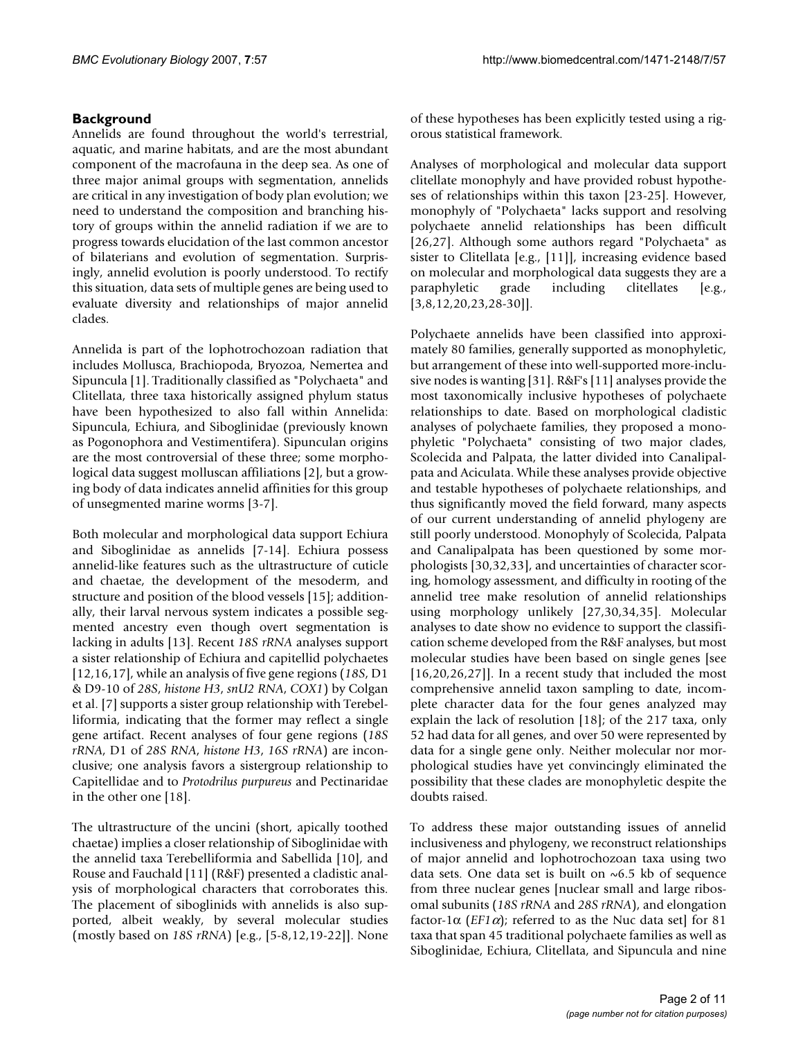## **Background**

Annelids are found throughout the world's terrestrial, aquatic, and marine habitats, and are the most abundant component of the macrofauna in the deep sea. As one of three major animal groups with segmentation, annelids are critical in any investigation of body plan evolution; we need to understand the composition and branching history of groups within the annelid radiation if we are to progress towards elucidation of the last common ancestor of bilaterians and evolution of segmentation. Surprisingly, annelid evolution is poorly understood. To rectify this situation, data sets of multiple genes are being used to evaluate diversity and relationships of major annelid clades.

Annelida is part of the lophotrochozoan radiation that includes Mollusca, Brachiopoda, Bryozoa, Nemertea and Sipuncula [1]. Traditionally classified as "Polychaeta" and Clitellata, three taxa historically assigned phylum status have been hypothesized to also fall within Annelida: Sipuncula, Echiura, and Siboglinidae (previously known as Pogonophora and Vestimentifera). Sipunculan origins are the most controversial of these three; some morphological data suggest molluscan affiliations [2], but a growing body of data indicates annelid affinities for this group of unsegmented marine worms [3-7].

Both molecular and morphological data support Echiura and Siboglinidae as annelids [7-14]. Echiura possess annelid-like features such as the ultrastructure of cuticle and chaetae, the development of the mesoderm, and structure and position of the blood vessels [15]; additionally, their larval nervous system indicates a possible segmented ancestry even though overt segmentation is lacking in adults [13]. Recent *18S rRNA* analyses support a sister relationship of Echiura and capitellid polychaetes [12,16,17], while an analysis of five gene regions (*18S*, D1 & D9-10 of *28S*, *histone H3*, *snU2 RNA*, *COX1*) by Colgan et al. [7] supports a sister group relationship with Terebelliformia, indicating that the former may reflect a single gene artifact. Recent analyses of four gene regions (*18S rRNA*, D1 of *28S RNA*, *histone H3*, *16S rRNA*) are inconclusive; one analysis favors a sistergroup relationship to Capitellidae and to *Protodrilus purpureus* and Pectinaridae in the other one [18].

The ultrastructure of the uncini (short, apically toothed chaetae) implies a closer relationship of Siboglinidae with the annelid taxa Terebelliformia and Sabellida [10], and Rouse and Fauchald [11] (R&F) presented a cladistic analysis of morphological characters that corroborates this. The placement of siboglinids with annelids is also supported, albeit weakly, by several molecular studies (mostly based on *18S rRNA*) [e.g., [5-8,12,19-22]]. None

of these hypotheses has been explicitly tested using a rigorous statistical framework.

Analyses of morphological and molecular data support clitellate monophyly and have provided robust hypotheses of relationships within this taxon [23-25]. However, monophyly of "Polychaeta" lacks support and resolving polychaete annelid relationships has been difficult [26,27]. Although some authors regard "Polychaeta" as sister to Clitellata [e.g., [11]], increasing evidence based on molecular and morphological data suggests they are a paraphyletic grade including clitellates [e.g., [3,8,12,20,23,28-30]].

Polychaete annelids have been classified into approximately 80 families, generally supported as monophyletic, but arrangement of these into well-supported more-inclusive nodes is wanting [31]. R&F's [11] analyses provide the most taxonomically inclusive hypotheses of polychaete relationships to date. Based on morphological cladistic analyses of polychaete families, they proposed a monophyletic "Polychaeta" consisting of two major clades, Scolecida and Palpata, the latter divided into Canalipalpata and Aciculata. While these analyses provide objective and testable hypotheses of polychaete relationships, and thus significantly moved the field forward, many aspects of our current understanding of annelid phylogeny are still poorly understood. Monophyly of Scolecida, Palpata and Canalipalpata has been questioned by some morphologists [30,32,33], and uncertainties of character scoring, homology assessment, and difficulty in rooting of the annelid tree make resolution of annelid relationships using morphology unlikely [27,30,34,35]. Molecular analyses to date show no evidence to support the classification scheme developed from the R&F analyses, but most molecular studies have been based on single genes [see  $[16,20,26,27]$ ]. In a recent study that included the most comprehensive annelid taxon sampling to date, incomplete character data for the four genes analyzed may explain the lack of resolution [18]; of the 217 taxa, only 52 had data for all genes, and over 50 were represented by data for a single gene only. Neither molecular nor morphological studies have yet convincingly eliminated the possibility that these clades are monophyletic despite the doubts raised.

To address these major outstanding issues of annelid inclusiveness and phylogeny, we reconstruct relationships of major annelid and lophotrochozoan taxa using two data sets. One data set is built on  $\sim 6.5$  kb of sequence from three nuclear genes [nuclear small and large ribosomal subunits (*18S rRNA* and *28S rRNA*), and elongation factor-1α (*EF1α*); referred to as the Nuc data set] for 81 taxa that span 45 traditional polychaete families as well as Siboglinidae, Echiura, Clitellata, and Sipuncula and nine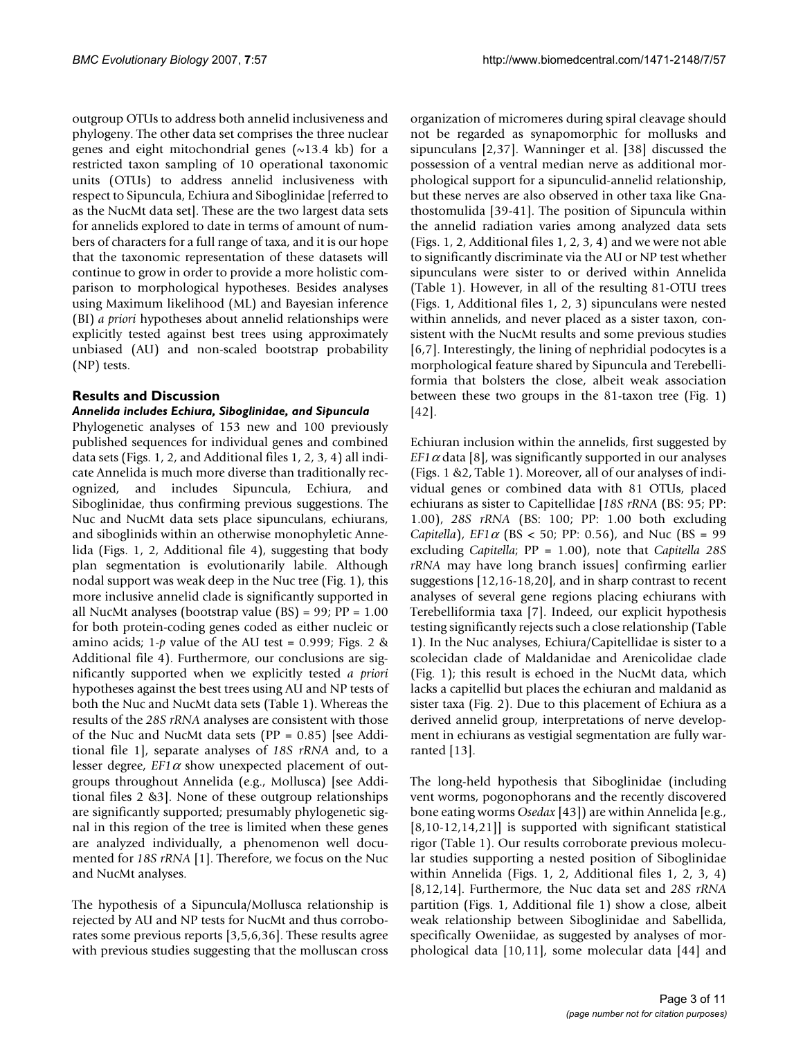outgroup OTUs to address both annelid inclusiveness and phylogeny. The other data set comprises the three nuclear genes and eight mitochondrial genes  $(\sim 13.4 \text{ kb})$  for a restricted taxon sampling of 10 operational taxonomic units (OTUs) to address annelid inclusiveness with respect to Sipuncula, Echiura and Siboglinidae [referred to as the NucMt data set]. These are the two largest data sets for annelids explored to date in terms of amount of numbers of characters for a full range of taxa, and it is our hope that the taxonomic representation of these datasets will continue to grow in order to provide a more holistic comparison to morphological hypotheses. Besides analyses using Maximum likelihood (ML) and Bayesian inference (BI) *a priori* hypotheses about annelid relationships were explicitly tested against best trees using approximately unbiased (AU) and non-scaled bootstrap probability (NP) tests.

### **Results and Discussion**

#### *Annelida includes Echiura, Siboglinidae, and Sipuncula*

Phylogenetic analyses of 153 new and 100 previously published sequences for individual genes and combined data sets (Figs. 1, 2, and Additional files [1](https://static-content.springer.com/esm/art%3A10.1186%2F1471-2148-7-57/MediaObjects/12862_2006_351_MOESM1_ESM.pdf), [2](https://static-content.springer.com/esm/art%3A10.1186%2F1471-2148-7-57/MediaObjects/12862_2006_351_MOESM2_ESM.pdf), [3](https://static-content.springer.com/esm/art%3A10.1186%2F1471-2148-7-57/MediaObjects/12862_2006_351_MOESM3_ESM.pdf), [4](https://static-content.springer.com/esm/art%3A10.1186%2F1471-2148-7-57/MediaObjects/12862_2006_351_MOESM4_ESM.pdf)) all indicate Annelida is much more diverse than traditionally recognized, and includes Sipuncula, Echiura, and Siboglinidae, thus confirming previous suggestions. The Nuc and NucMt data sets place sipunculans, echiurans, and siboglinids within an otherwise monophyletic Annelida (Figs. 1, 2, Additional file [4\)](https://static-content.springer.com/esm/art%3A10.1186%2F1471-2148-7-57/MediaObjects/12862_2006_351_MOESM4_ESM.pdf), suggesting that body plan segmentation is evolutionarily labile. Although nodal support was weak deep in the Nuc tree (Fig. 1), this more inclusive annelid clade is significantly supported in all NucMt analyses (bootstrap value (BS) = 99; PP = 1.00 for both protein-coding genes coded as either nucleic or amino acids;  $1-p$  value of the AU test = 0.999; Figs. 2 & Additional file [4\)](https://static-content.springer.com/esm/art%3A10.1186%2F1471-2148-7-57/MediaObjects/12862_2006_351_MOESM4_ESM.pdf). Furthermore, our conclusions are significantly supported when we explicitly tested *a priori* hypotheses against the best trees using AU and NP tests of both the Nuc and NucMt data sets (Table 1). Whereas the results of the *28S rRNA* analyses are consistent with those of the Nuc and NucMt data sets (PP = 0.85) [see Additional file [1](https://static-content.springer.com/esm/art%3A10.1186%2F1471-2148-7-57/MediaObjects/12862_2006_351_MOESM1_ESM.pdf)], separate analyses of *18S rRNA* and, to a lesser degree,  $EFI\alpha$  show unexpected placement of outgroups throughout Annelida (e.g., Mollusca) [see Additional files [2](https://static-content.springer.com/esm/art%3A10.1186%2F1471-2148-7-57/MediaObjects/12862_2006_351_MOESM2_ESM.pdf) &[3](https://static-content.springer.com/esm/art%3A10.1186%2F1471-2148-7-57/MediaObjects/12862_2006_351_MOESM3_ESM.pdf)]. None of these outgroup relationships are significantly supported; presumably phylogenetic signal in this region of the tree is limited when these genes are analyzed individually, a phenomenon well documented for *18S rRNA* [1]. Therefore, we focus on the Nuc and NucMt analyses.

The hypothesis of a Sipuncula/Mollusca relationship is rejected by AU and NP tests for NucMt and thus corroborates some previous reports [3,5,6,36]. These results agree with previous studies suggesting that the molluscan cross

organization of micromeres during spiral cleavage should not be regarded as synapomorphic for mollusks and sipunculans [2,37]. Wanninger et al. [38] discussed the possession of a ventral median nerve as additional morphological support for a sipunculid-annelid relationship, but these nerves are also observed in other taxa like Gnathostomulida [39-41]. The position of Sipuncula within the annelid radiation varies among analyzed data sets (Figs. 1, 2, Additional files [1,](https://static-content.springer.com/esm/art%3A10.1186%2F1471-2148-7-57/MediaObjects/12862_2006_351_MOESM1_ESM.pdf) [2,](https://static-content.springer.com/esm/art%3A10.1186%2F1471-2148-7-57/MediaObjects/12862_2006_351_MOESM2_ESM.pdf) [3,](https://static-content.springer.com/esm/art%3A10.1186%2F1471-2148-7-57/MediaObjects/12862_2006_351_MOESM3_ESM.pdf) [4](https://static-content.springer.com/esm/art%3A10.1186%2F1471-2148-7-57/MediaObjects/12862_2006_351_MOESM4_ESM.pdf)) and we were not able to significantly discriminate via the AU or NP test whether sipunculans were sister to or derived within Annelida (Table 1). However, in all of the resulting 81-OTU trees (Figs. 1, Additional files [1,](https://static-content.springer.com/esm/art%3A10.1186%2F1471-2148-7-57/MediaObjects/12862_2006_351_MOESM1_ESM.pdf) [2](https://static-content.springer.com/esm/art%3A10.1186%2F1471-2148-7-57/MediaObjects/12862_2006_351_MOESM2_ESM.pdf), [3](https://static-content.springer.com/esm/art%3A10.1186%2F1471-2148-7-57/MediaObjects/12862_2006_351_MOESM3_ESM.pdf)) sipunculans were nested within annelids, and never placed as a sister taxon, consistent with the NucMt results and some previous studies [6,7]. Interestingly, the lining of nephridial podocytes is a morphological feature shared by Sipuncula and Terebelliformia that bolsters the close, albeit weak association between these two groups in the 81-taxon tree (Fig. 1) [42].

Echiuran inclusion within the annelids, first suggested by *EF1* $\alpha$  data [8], was significantly supported in our analyses (Figs. 1 &2, Table 1). Moreover, all of our analyses of individual genes or combined data with 81 OTUs, placed echiurans as sister to Capitellidae [*18S rRNA* (BS: 95; PP: 1.00), *28S rRNA* (BS: 100; PP: 1.00 both excluding *Capitella*), *EF1* $\alpha$  (BS < 50; PP: 0.56), and Nuc (BS = 99 excluding *Capitella*; PP = 1.00), note that *Capitella 28S rRNA* may have long branch issues] confirming earlier suggestions [12,16-18,20], and in sharp contrast to recent analyses of several gene regions placing echiurans with Terebelliformia taxa [7]. Indeed, our explicit hypothesis testing significantly rejects such a close relationship (Table 1). In the Nuc analyses, Echiura/Capitellidae is sister to a scolecidan clade of Maldanidae and Arenicolidae clade (Fig. 1); this result is echoed in the NucMt data, which lacks a capitellid but places the echiuran and maldanid as sister taxa (Fig. 2). Due to this placement of Echiura as a derived annelid group, interpretations of nerve development in echiurans as vestigial segmentation are fully warranted [13].

The long-held hypothesis that Siboglinidae (including vent worms, pogonophorans and the recently discovered bone eating worms *Osedax* [43]) are within Annelida [e.g., [8,10-12,14,21]] is supported with significant statistical rigor (Table 1). Our results corroborate previous molecular studies supporting a nested position of Siboglinidae within Annelida (Figs. 1, 2, Additional files [1,](https://static-content.springer.com/esm/art%3A10.1186%2F1471-2148-7-57/MediaObjects/12862_2006_351_MOESM1_ESM.pdf) [2,](https://static-content.springer.com/esm/art%3A10.1186%2F1471-2148-7-57/MediaObjects/12862_2006_351_MOESM2_ESM.pdf) [3](https://static-content.springer.com/esm/art%3A10.1186%2F1471-2148-7-57/MediaObjects/12862_2006_351_MOESM3_ESM.pdf), [4](https://static-content.springer.com/esm/art%3A10.1186%2F1471-2148-7-57/MediaObjects/12862_2006_351_MOESM4_ESM.pdf)) [8,12,14]. Furthermore, the Nuc data set and *28S rRNA* partition (Figs. 1, Additional file [1](https://static-content.springer.com/esm/art%3A10.1186%2F1471-2148-7-57/MediaObjects/12862_2006_351_MOESM1_ESM.pdf)) show a close, albeit weak relationship between Siboglinidae and Sabellida, specifically Oweniidae, as suggested by analyses of morphological data [10,11], some molecular data [44] and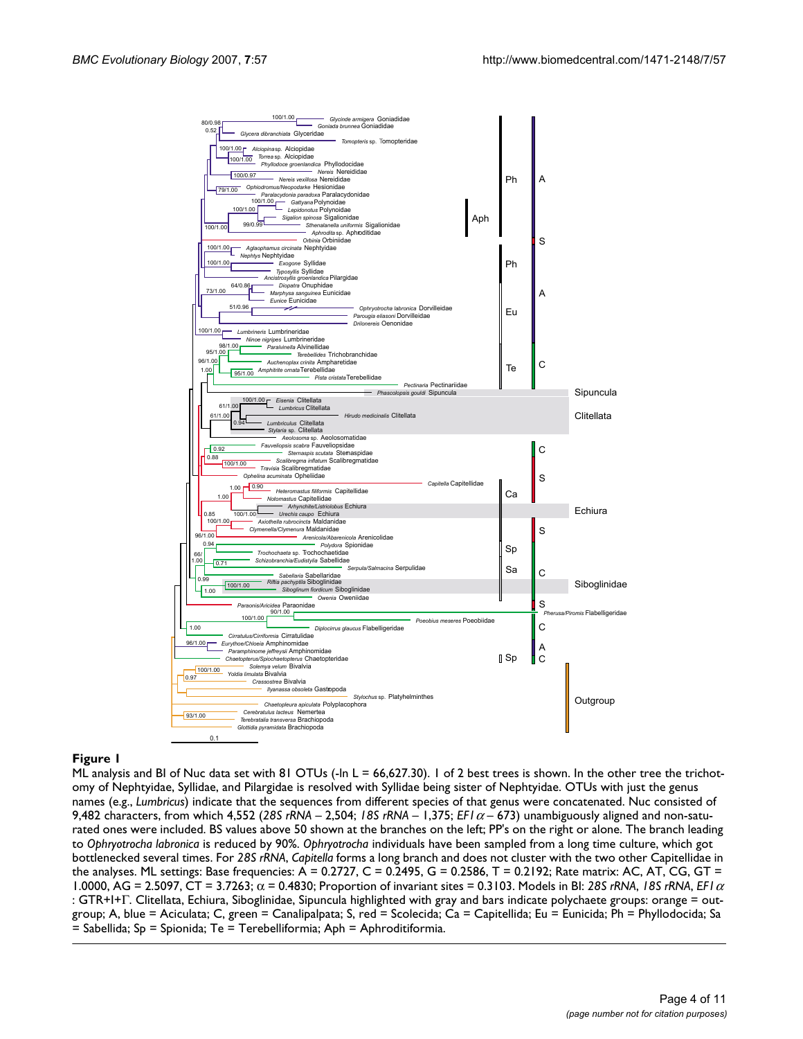

#### Figure 1

ML analysis and BI of Nuc data set with 81 OTUs (-In L = 66,627.30). I of 2 best trees is shown. In the other tree the trichotomy of Nephtyidae, Syllidae, and Pilargidae is resolved with Syllidae being sister of Nephtyidae. OTUs with just the genus names (e.g., *Lumbricus*) indicate that the sequences from different species of that genus were concatenated. Nuc consisted of 9,482 characters, from which 4,552 (*28S rRNA* – 2,504; *18S rRNA* – 1,375; *EF1*<sup>α</sup> – 673) unambiguously aligned and non-saturated ones were included. BS values above 50 shown at the branches on the left; PP's on the right or alone. The branch leading to *Ophryotrocha labronica* is reduced by 90%. *Ophryotrocha* individuals have been sampled from a long time culture, which got bottlenecked several times. For *28S rRNA*, *Capitella* forms a long branch and does not cluster with the two other Capitellidae in the analyses. ML settings: Base frequencies: A = 0.2727, C = 0.2495, G = 0.2586, T = 0.2192; Rate matrix: AC, AT, CG, GT = 1.0000, AG = 2.5097, CT = 3.7263; α = 0.4830; Proportion of invariant sites = 0.3103. Models in BI: *28S rRNA*, *18S rRNA*, *EF1*<sup>α</sup> : GTR+I+Γ. Clitellata, Echiura, Siboglinidae, Sipuncula highlighted with gray and bars indicate polychaete groups: orange = outgroup; A, blue = Aciculata; C, green = Canalipalpata; S, red = Scolecida; Ca = Capitellida; Eu = Eunicida; Ph = Phyllodocida; Sa = Sabellida; Sp = Spionida; Te = Terebelliformia; Aph = Aphroditiformia.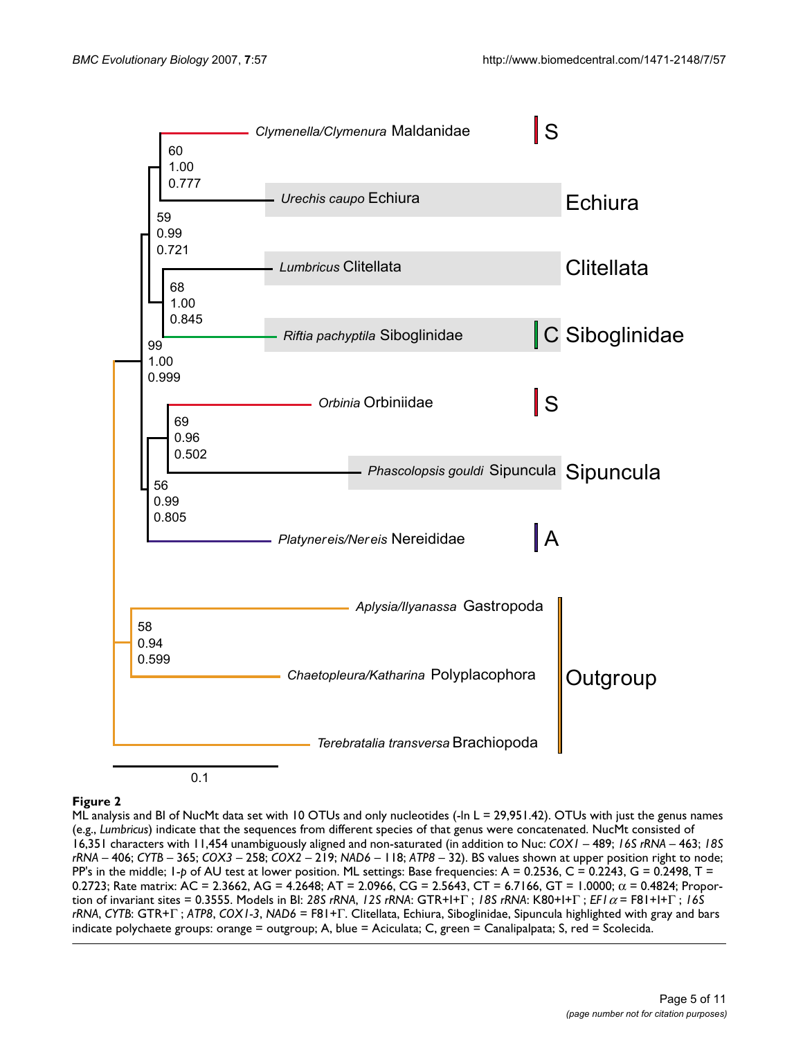

### ML analysis and BI of NucMt **Figure 2** data set with 10 OTUs and only nucleotides (-ln L = 29,951.42)

ML analysis and BI of NucMt data set with 10 OTUs and only nucleotides (-In L = 29,951.42). OTUs with just the genus names (e.g., *Lumbricus*) indicate that the sequences from different species of that genus were concatenated. NucMt consisted of 16,351 characters with 11,454 unambiguously aligned and non-saturated (in addition to Nuc: *COX1* – 489; *16S rRNA* – 463; *18S rRNA* – 406; *CYTB* – 365; *COX3* – 258; *COX2* – 219; *NAD6* – 118; *ATP8* – 32). BS values shown at upper position right to node; PP's in the middle; 1-*p* of AU test at lower position. ML settings: Base frequencies: A = 0.2536, C = 0.2243, G = 0.2498, T = 0.2723; Rate matrix: AC = 2.3662, AG = 4.2648; AT = 2.0966, CG = 2.5643, CT = 6.7166, GT = 1.0000;  $\alpha$  = 0.4824; Proportion of invariant sites = 0.3555. Models in BI: *28S rRNA*, *12S rRNA*: GTR+I+Γ ; *18S rRNA*: K80+I+Γ ; *EF1*<sup>α</sup> = F81+I+Γ ; *16S rRNA*, *CYTB*: GTR+Γ ; *ATP8*, *COX1-3*, *NAD6* = F81+Γ. Clitellata, Echiura, Siboglinidae, Sipuncula highlighted with gray and bars indicate polychaete groups: orange = outgroup; A, blue = Aciculata; C, green = Canalipalpata; S, red = Scolecida.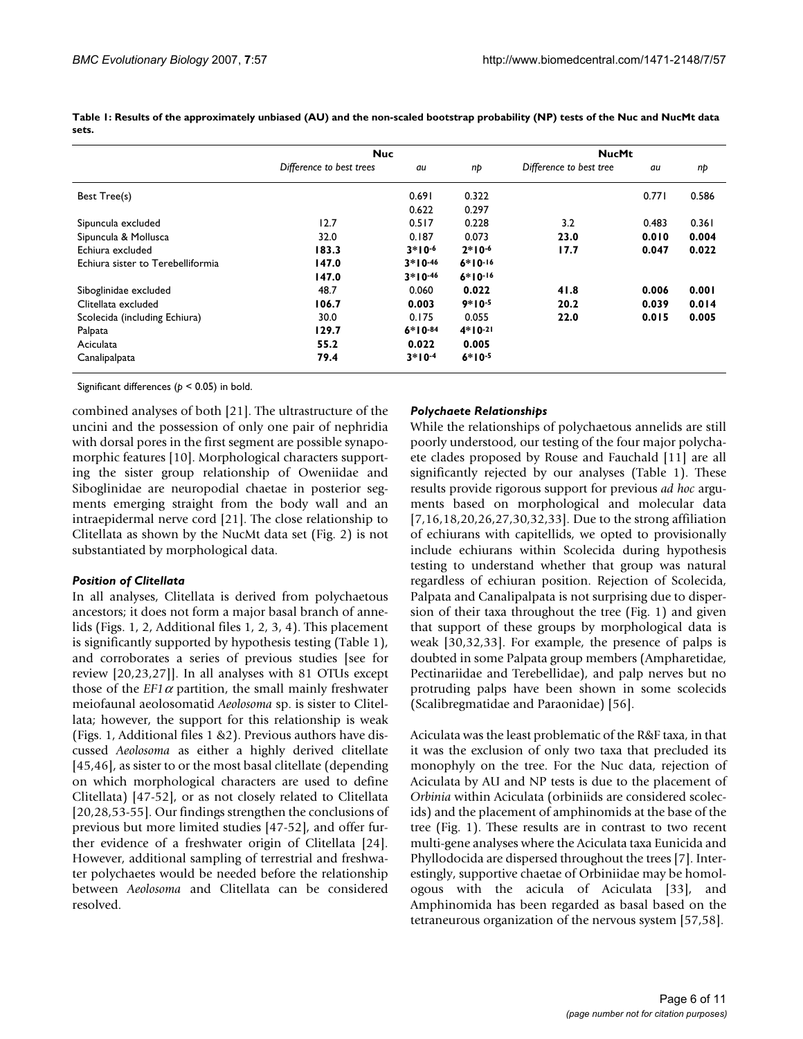|                                   | <b>Nuc</b>               |           |           | <b>NucMt</b>            |       |       |
|-----------------------------------|--------------------------|-----------|-----------|-------------------------|-------|-------|
|                                   | Difference to best trees | au        | nþ        | Difference to best tree | au    | nþ    |
| Best Tree(s)                      |                          | 0.691     | 0.322     |                         | 0.771 | 0.586 |
|                                   |                          | 0.622     | 0.297     |                         |       |       |
| Sipuncula excluded                | 12.7                     | 0.517     | 0.228     | 3.2                     | 0.483 | 0.361 |
| Sipuncula & Mollusca              | 32.0                     | 0.187     | 0.073     | 23.0                    | 0.010 | 0.004 |
| Echiura excluded                  | 183.3                    | $3*10-6$  | $2*10-6$  | 17.7                    | 0.047 | 0.022 |
| Echiura sister to Terebelliformia | 147.0                    | $3*10-46$ | $6*10-16$ |                         |       |       |
|                                   | 147.0                    | $3*10-46$ | $6*10-16$ |                         |       |       |
| Siboglinidae excluded             | 48.7                     | 0.060     | 0.022     | 41.8                    | 0.006 | 0.001 |
| Clitellata excluded               | 106.7                    | 0.003     | $9*10-5$  | 20.2                    | 0.039 | 0.014 |
| Scolecida (including Echiura)     | 30.0                     | 0.175     | 0.055     | 22.0                    | 0.015 | 0.005 |
| Palpata                           | 129.7                    | $6*10-84$ | $4*10-21$ |                         |       |       |
| Aciculata                         | 55.2                     | 0.022     | 0.005     |                         |       |       |
| Canalipalpata                     | 79.4                     | $3*10-4$  | $6*10-5$  |                         |       |       |

**Table 1: Results of the approximately unbiased (AU) and the non-scaled bootstrap probability (NP) tests of the Nuc and NucMt data sets.**

Significant differences (*p* < 0.05) in bold.

combined analyses of both [21]. The ultrastructure of the uncini and the possession of only one pair of nephridia with dorsal pores in the first segment are possible synapomorphic features [10]. Morphological characters supporting the sister group relationship of Oweniidae and Siboglinidae are neuropodial chaetae in posterior segments emerging straight from the body wall and an intraepidermal nerve cord [21]. The close relationship to Clitellata as shown by the NucMt data set (Fig. 2) is not substantiated by morphological data.

#### *Position of Clitellata*

In all analyses, Clitellata is derived from polychaetous ancestors; it does not form a major basal branch of annelids (Figs. 1, 2, Additional files [1,](https://static-content.springer.com/esm/art%3A10.1186%2F1471-2148-7-57/MediaObjects/12862_2006_351_MOESM1_ESM.pdf) [2](https://static-content.springer.com/esm/art%3A10.1186%2F1471-2148-7-57/MediaObjects/12862_2006_351_MOESM2_ESM.pdf), [3,](https://static-content.springer.com/esm/art%3A10.1186%2F1471-2148-7-57/MediaObjects/12862_2006_351_MOESM3_ESM.pdf) [4](https://static-content.springer.com/esm/art%3A10.1186%2F1471-2148-7-57/MediaObjects/12862_2006_351_MOESM4_ESM.pdf)). This placement is significantly supported by hypothesis testing (Table 1), and corroborates a series of previous studies [see for review [20,23,27]]. In all analyses with 81 OTUs except those of the *EF1* $\alpha$  partition, the small mainly freshwater meiofaunal aeolosomatid *Aeolosoma* sp. is sister to Clitellata; however, the support for this relationship is weak (Figs. 1, Additional files [1](https://static-content.springer.com/esm/art%3A10.1186%2F1471-2148-7-57/MediaObjects/12862_2006_351_MOESM1_ESM.pdf) &[2](https://static-content.springer.com/esm/art%3A10.1186%2F1471-2148-7-57/MediaObjects/12862_2006_351_MOESM2_ESM.pdf)). Previous authors have discussed *Aeolosoma* as either a highly derived clitellate [45,46], as sister to or the most basal clitellate (depending on which morphological characters are used to define Clitellata) [47-52], or as not closely related to Clitellata [20,28,53-55]. Our findings strengthen the conclusions of previous but more limited studies [47-52], and offer further evidence of a freshwater origin of Clitellata [24]. However, additional sampling of terrestrial and freshwater polychaetes would be needed before the relationship between *Aeolosoma* and Clitellata can be considered resolved.

#### *Polychaete Relationships*

While the relationships of polychaetous annelids are still poorly understood, our testing of the four major polychaete clades proposed by Rouse and Fauchald [11] are all significantly rejected by our analyses (Table 1). These results provide rigorous support for previous *ad hoc* arguments based on morphological and molecular data [7,16,18,20,26,27,30,32,33]. Due to the strong affiliation of echiurans with capitellids, we opted to provisionally include echiurans within Scolecida during hypothesis testing to understand whether that group was natural regardless of echiuran position. Rejection of Scolecida, Palpata and Canalipalpata is not surprising due to dispersion of their taxa throughout the tree (Fig. 1) and given that support of these groups by morphological data is weak [30,32,33]. For example, the presence of palps is doubted in some Palpata group members (Ampharetidae, Pectinariidae and Terebellidae), and palp nerves but no protruding palps have been shown in some scolecids (Scalibregmatidae and Paraonidae) [56].

Aciculata was the least problematic of the R&F taxa, in that it was the exclusion of only two taxa that precluded its monophyly on the tree. For the Nuc data, rejection of Aciculata by AU and NP tests is due to the placement of *Orbinia* within Aciculata (orbiniids are considered scolecids) and the placement of amphinomids at the base of the tree (Fig. 1). These results are in contrast to two recent multi-gene analyses where the Aciculata taxa Eunicida and Phyllodocida are dispersed throughout the trees [7]. Interestingly, supportive chaetae of Orbiniidae may be homologous with the acicula of Aciculata [33], and Amphinomida has been regarded as basal based on the tetraneurous organization of the nervous system [57,58].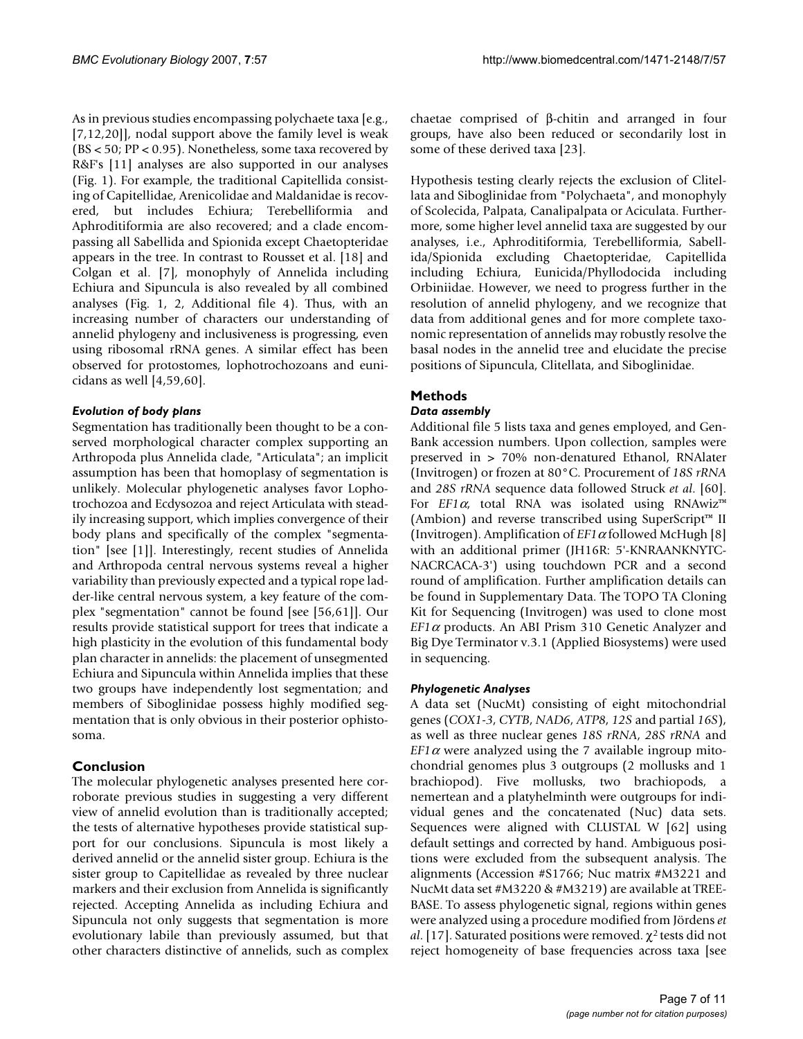As in previous studies encompassing polychaete taxa [e.g., [7,12,20]], nodal support above the family level is weak (BS < 50; PP < 0.95). Nonetheless, some taxa recovered by R&F's [11] analyses are also supported in our analyses (Fig. 1). For example, the traditional Capitellida consisting of Capitellidae, Arenicolidae and Maldanidae is recovered, but includes Echiura; Terebelliformia and Aphroditiformia are also recovered; and a clade encompassing all Sabellida and Spionida except Chaetopteridae appears in the tree. In contrast to Rousset et al. [18] and Colgan et al. [7], monophyly of Annelida including Echiura and Sipuncula is also revealed by all combined analyses (Fig. 1, 2, Additional file [4](https://static-content.springer.com/esm/art%3A10.1186%2F1471-2148-7-57/MediaObjects/12862_2006_351_MOESM4_ESM.pdf)). Thus, with an increasing number of characters our understanding of annelid phylogeny and inclusiveness is progressing, even using ribosomal rRNA genes. A similar effect has been observed for protostomes, lophotrochozoans and eunicidans as well [4,59,60].

#### *Evolution of body plans*

Segmentation has traditionally been thought to be a conserved morphological character complex supporting an Arthropoda plus Annelida clade, "Articulata"; an implicit assumption has been that homoplasy of segmentation is unlikely. Molecular phylogenetic analyses favor Lophotrochozoa and Ecdysozoa and reject Articulata with steadily increasing support, which implies convergence of their body plans and specifically of the complex "segmentation" [see [1]]. Interestingly, recent studies of Annelida and Arthropoda central nervous systems reveal a higher variability than previously expected and a typical rope ladder-like central nervous system, a key feature of the complex "segmentation" cannot be found [see [56,61]]. Our results provide statistical support for trees that indicate a high plasticity in the evolution of this fundamental body plan character in annelids: the placement of unsegmented Echiura and Sipuncula within Annelida implies that these two groups have independently lost segmentation; and members of Siboglinidae possess highly modified segmentation that is only obvious in their posterior ophistosoma.

#### **Conclusion**

The molecular phylogenetic analyses presented here corroborate previous studies in suggesting a very different view of annelid evolution than is traditionally accepted; the tests of alternative hypotheses provide statistical support for our conclusions. Sipuncula is most likely a derived annelid or the annelid sister group. Echiura is the sister group to Capitellidae as revealed by three nuclear markers and their exclusion from Annelida is significantly rejected. Accepting Annelida as including Echiura and Sipuncula not only suggests that segmentation is more evolutionary labile than previously assumed, but that other characters distinctive of annelids, such as complex chaetae comprised of β-chitin and arranged in four groups, have also been reduced or secondarily lost in some of these derived taxa [23].

Hypothesis testing clearly rejects the exclusion of Clitellata and Siboglinidae from "Polychaeta", and monophyly of Scolecida, Palpata, Canalipalpata or Aciculata. Furthermore, some higher level annelid taxa are suggested by our analyses, i.e., Aphroditiformia, Terebelliformia, Sabellida/Spionida excluding Chaetopteridae, Capitellida including Echiura, Eunicida/Phyllodocida including Orbiniidae. However, we need to progress further in the resolution of annelid phylogeny, and we recognize that data from additional genes and for more complete taxonomic representation of annelids may robustly resolve the basal nodes in the annelid tree and elucidate the precise positions of Sipuncula, Clitellata, and Siboglinidae.

# **Methods**

#### *Data assembly*

Additional file [5](https://static-content.springer.com/esm/art%3A10.1186%2F1471-2148-7-57/MediaObjects/12862_2006_351_MOESM5_ESM.pdf) lists taxa and genes employed, and Gen-Bank accession numbers. Upon collection, samples were preserved in > 70% non-denatured Ethanol, RNAlater (Invitrogen) or frozen at 80°C. Procurement of *18S rRNA* and *28S rRNA* sequence data followed Struck *et al*. [60]. For *EF1*α, total RNA was isolated using RNAwiz™ (Ambion) and reverse transcribed using SuperScript™ II (Invitrogen). Amplification of  $EFI\alpha$  followed McHugh [8] with an additional primer (JH16R: 5'-KNRAANKNYTC-NACRCACA-3') using touchdown PCR and a second round of amplification. Further amplification details can be found in Supplementary Data. The TOPO TA Cloning Kit for Sequencing (Invitrogen) was used to clone most *EF1*<sup>α</sup> products. An ABI Prism 310 Genetic Analyzer and Big Dye Terminator v.3.1 (Applied Biosystems) were used in sequencing.

#### *Phylogenetic Analyses*

A data set (NucMt) consisting of eight mitochondrial genes (*COX1-3*, *CYTB*, *NAD6*, *ATP8*, *12S* and partial *16S*), as well as three nuclear genes *18S rRNA*, *28S rRNA* and *EF1* $\alpha$  were analyzed using the 7 available ingroup mitochondrial genomes plus 3 outgroups (2 mollusks and 1 brachiopod). Five mollusks, two brachiopods, a nemertean and a platyhelminth were outgroups for individual genes and the concatenated (Nuc) data sets. Sequences were aligned with CLUSTAL W [62] using default settings and corrected by hand. Ambiguous positions were excluded from the subsequent analysis. The alignments (Accession #S1766; Nuc matrix #M3221 and NucMt data set #M3220 & #M3219) are available at TREE-BASE. To assess phylogenetic signal, regions within genes were analyzed using a procedure modified from Jördens *et al*. [17]. Saturated positions were removed.  $χ²$  tests did not reject homogeneity of base frequencies across taxa [see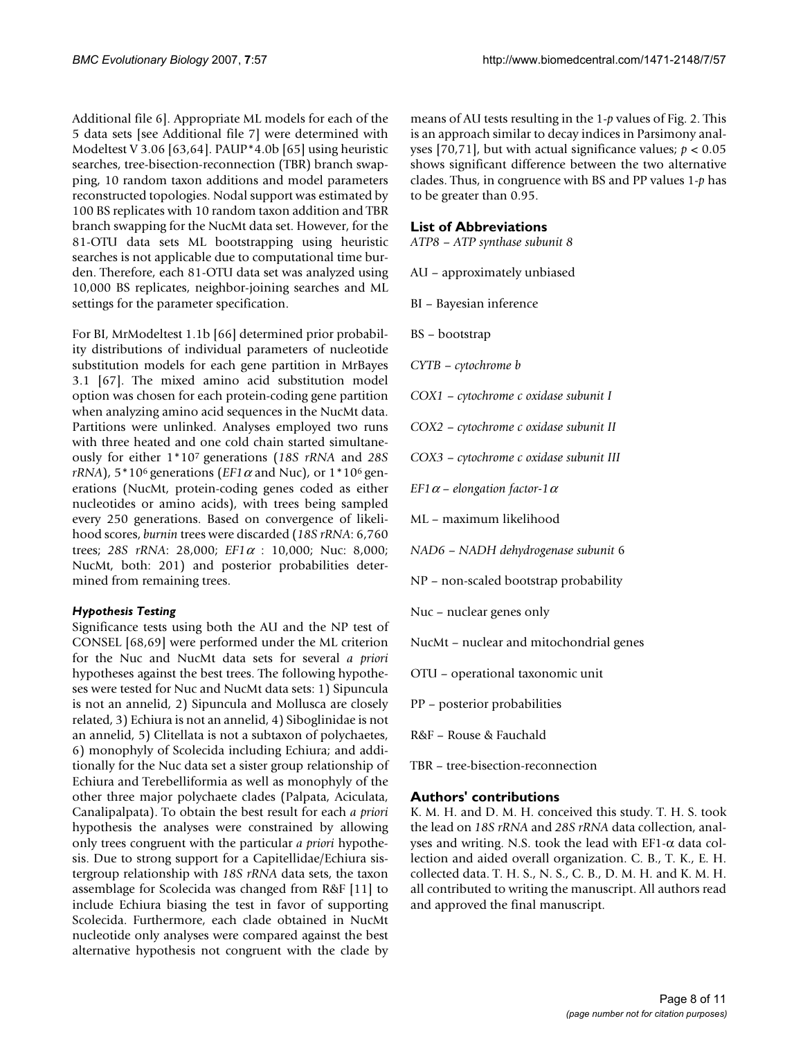Additional file [6](https://static-content.springer.com/esm/art%3A10.1186%2F1471-2148-7-57/MediaObjects/12862_2006_351_MOESM6_ESM.pdf)]. Appropriate ML models for each of the 5 data sets [see Additional file [7\]](https://static-content.springer.com/esm/art%3A10.1186%2F1471-2148-7-57/MediaObjects/12862_2006_351_MOESM7_ESM.pdf) were determined with Modeltest V 3.06 [63,64]. PAUP\*4.0b [65] using heuristic searches, tree-bisection-reconnection (TBR) branch swapping, 10 random taxon additions and model parameters reconstructed topologies. Nodal support was estimated by 100 BS replicates with 10 random taxon addition and TBR branch swapping for the NucMt data set. However, for the 81-OTU data sets ML bootstrapping using heuristic searches is not applicable due to computational time burden. Therefore, each 81-OTU data set was analyzed using 10,000 BS replicates, neighbor-joining searches and ML settings for the parameter specification.

For BI, MrModeltest 1.1b [66] determined prior probability distributions of individual parameters of nucleotide substitution models for each gene partition in MrBayes 3.1 [67]. The mixed amino acid substitution model option was chosen for each protein-coding gene partition when analyzing amino acid sequences in the NucMt data. Partitions were unlinked. Analyses employed two runs with three heated and one cold chain started simultaneously for either 1\*107 generations (*18S rRNA* and *28S rRNA*),  $5*10^6$  generations (*EF1* $\alpha$  and Nuc), or  $1*10^6$  generations (NucMt, protein-coding genes coded as either nucleotides or amino acids), with trees being sampled every 250 generations. Based on convergence of likelihood scores, *burnin* trees were discarded (*18S rRNA*: 6,760 trees; *28S rRNA*: 28,000; *EF1*<sup>α</sup> : 10,000; Nuc: 8,000; NucMt, both: 201) and posterior probabilities determined from remaining trees.

#### *Hypothesis Testing*

Significance tests using both the AU and the NP test of CONSEL [68,69] were performed under the ML criterion for the Nuc and NucMt data sets for several *a priori* hypotheses against the best trees. The following hypotheses were tested for Nuc and NucMt data sets: 1) Sipuncula is not an annelid, 2) Sipuncula and Mollusca are closely related, 3) Echiura is not an annelid, 4) Siboglinidae is not an annelid, 5) Clitellata is not a subtaxon of polychaetes, 6) monophyly of Scolecida including Echiura; and additionally for the Nuc data set a sister group relationship of Echiura and Terebelliformia as well as monophyly of the other three major polychaete clades (Palpata, Aciculata, Canalipalpata). To obtain the best result for each *a priori* hypothesis the analyses were constrained by allowing only trees congruent with the particular *a priori* hypothesis. Due to strong support for a Capitellidae/Echiura sistergroup relationship with *18S rRNA* data sets, the taxon assemblage for Scolecida was changed from R&F [11] to include Echiura biasing the test in favor of supporting Scolecida. Furthermore, each clade obtained in NucMt nucleotide only analyses were compared against the best alternative hypothesis not congruent with the clade by means of AU tests resulting in the 1-*p* values of Fig. 2. This is an approach similar to decay indices in Parsimony analyses [70,71], but with actual significance values; *p* < 0.05 shows significant difference between the two alternative clades. Thus, in congruence with BS and PP values 1-*p* has to be greater than 0.95.

#### **List of Abbreviations**

*ATP8* – *ATP synthase subunit 8*

- AU approximately unbiased
- BI Bayesian inference
- BS bootstrap
- *CYTB cytochrome b*
- *COX1 cytochrome c oxidase subunit I*
- *COX2 cytochrome c oxidase subunit II*
- *COX3 cytochrome c oxidase subunit III*
- *EF1*<sup>α</sup> *elongation factor-1*<sup>α</sup>
- ML maximum likelihood
- *NAD6 NADH dehydrogenase subunit* 6
- NP non-scaled bootstrap probability
- Nuc nuclear genes only
- NucMt nuclear and mitochondrial genes
- OTU operational taxonomic unit
- PP posterior probabilities
- R&F Rouse & Fauchald
- TBR tree-bisection-reconnection

#### **Authors' contributions**

K. M. H. and D. M. H. conceived this study. T. H. S. took the lead on *18S rRNA* and *28S rRNA* data collection, analyses and writing. N.S. took the lead with EF1-α data collection and aided overall organization. C. B., T. K., E. H. collected data. T. H. S., N. S., C. B., D. M. H. and K. M. H. all contributed to writing the manuscript. All authors read and approved the final manuscript.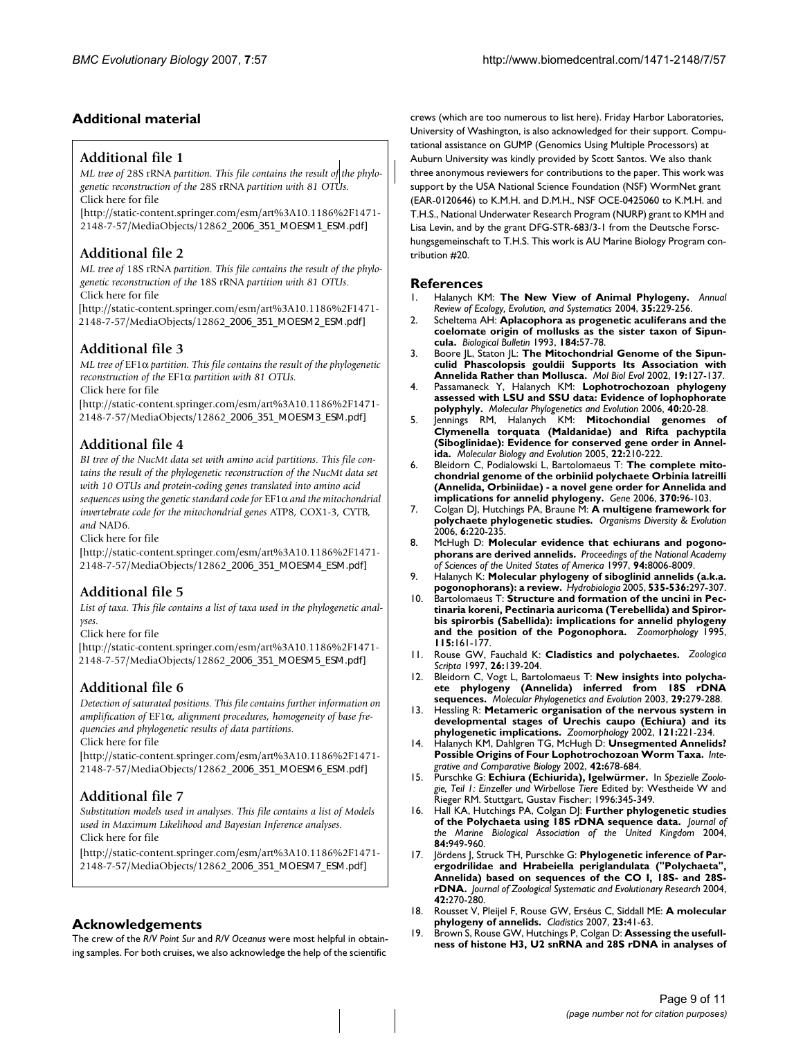# **Additional material**

### **Additional file 1**

*ML tree of* 28S rRNA *partition. This file contains the result of the phylogenetic reconstruction of the* 28S rRNA *partition with 81 OTUs.* Click here for file

[\[http://static-content.springer.com/esm/art%3A10.1186%2F1471-](https://static-content.springer.com/esm/art%3A10.1186%2F1471-2148-7-57/MediaObjects/12862_2006_351_MOESM1_ESM.pdf) 2148-7-57/MediaObjects/12862\_ \_2006\_351\_MOESM1\_ESM.pdf]

# **Additional file 2**

*ML tree of* 18S rRNA *partition. This file contains the result of the phylogenetic reconstruction of the* 18S rRNA *partition with 81 OTUs.* Click here for file

[\[http://static-content.springer.com/esm/art%3A10.1186%2F1471-](https://static-content.springer.com/esm/art%3A10.1186%2F1471-2148-7-57/MediaObjects/12862_2006_351_MOESM2_ESM.pdf) 2148-7-57/MediaObjects/12862\_ \_2006\_351\_MOESM2\_ESM.pdf]

# **Additional file 3**

*ML tree of* EF1α *partition. This file contains the result of the phylogenetic reconstruction of the* EF1α *partition with 81 OTUs.* Click here for file

[\[http://static-content.springer.com/esm/art%3A10.1186%2F1471-](https://static-content.springer.com/esm/art%3A10.1186%2F1471-2148-7-57/MediaObjects/12862_2006_351_MOESM3_ESM.pdf) 2148-7-57/MediaObjects/12862\_ \_2006\_351\_MOESM3\_ESM.pdf]

# **Additional file 4**

*BI tree of the NucMt data set with amino acid partitions. This file contains the result of the phylogenetic reconstruction of the NucMt data set with 10 OTUs and protein-coding genes translated into amino acid sequences using the genetic standard code for* EF1α *and the mitochondrial invertebrate code for the mitochondrial genes* ATP8*,* COX1-3*,* CYTB*, and* NAD6*.*

Click here for file

[\[http://static-content.springer.com/esm/art%3A10.1186%2F1471-](https://static-content.springer.com/esm/art%3A10.1186%2F1471-2148-7-57/MediaObjects/12862_2006_351_MOESM4_ESM.pdf) 2148-7-57/MediaObjects/12862\_ \_2006\_351\_MOESM4\_ESM.pdf]

# **Additional file 5**

*List of taxa. This file contains a list of taxa used in the phylogenetic analyses.*

#### Click here for file

[\[http://static-content.springer.com/esm/art%3A10.1186%2F1471-](https://static-content.springer.com/esm/art%3A10.1186%2F1471-2148-7-57/MediaObjects/12862_2006_351_MOESM5_ESM.pdf) 2148-7-57/MediaObjects/12862\_ \_2006\_351\_MOESM5\_ESM.pdf]

# **Additional file 6**

*Detection of saturated positions. This file contains further information on amplification of* EF1α*, alignment procedures, homogeneity of base frequencies and phylogenetic results of data partitions.*

Click here for file

[\[http://static-content.springer.com/esm/art%3A10.1186%2F1471-](https://static-content.springer.com/esm/art%3A10.1186%2F1471-2148-7-57/MediaObjects/12862_2006_351_MOESM6_ESM.pdf) 2148-7-57/MediaObjects/12862\_ \_2006\_351\_MOESM6\_ESM.pdf]

# **Additional file 7**

*Substitution models used in analyses. This file contains a list of Models used in Maximum Likelihood and Bayesian Inference analyses.* Click here for file

[\[http://static-content.springer.com/esm/art%3A10.1186%2F1471-](https://static-content.springer.com/esm/art%3A10.1186%2F1471-2148-7-57/MediaObjects/12862_2006_351_MOESM7_ESM.pdf) 2148-7-57/MediaObjects/12862\_ \_2006\_351\_MOESM7\_ESM.pdf]

# **Acknowledgements**

The crew of the *R/V Point Sur* and *R/V Oceanus* were most helpful in obtaining samples. For both cruises, we also acknowledge the help of the scientific

crews (which are too numerous to list here). Friday Harbor Laboratories, University of Washington, is also acknowledged for their support. Computational assistance on GUMP (Genomics Using Multiple Processors) at Auburn University was kindly provided by Scott Santos. We also thank three anonymous reviewers for contributions to the paper. This work was support by the USA National Science Foundation (NSF) WormNet grant (EAR-0120646) to K.M.H. and D.M.H., NSF OCE-0425060 to K.M.H. and T.H.S., National Underwater Research Program (NURP) grant to KMH and Lisa Levin, and by the grant DFG-STR-683/3-1 from the Deutsche Forschungsgemeinschaft to T.H.S. This work is AU Marine Biology Program contribution #20.

#### **References**

- 1. Halanych KM: **The New View of Animal Phylogeny.** *Annual Review of Ecology, Evolution, and Systematics* 2004, **35:**229-256.
- 2. Scheltema AH: **Aplacophora as progenetic aculiferans and the coelomate origin of mollusks as the sister taxon of Sipuncula.** *Biological Bulletin* 1993, **184:**57-78.
- 3. Boore JL, Staton JL: **[The Mitochondrial Genome of the Sipun](http://www.ncbi.nlm.nih.gov/entrez/query.fcgi?cmd=Retrieve&db=PubMed&dopt=Abstract&list_uids=11801741)[culid Phascolopsis gouldii Supports Its Association with](http://www.ncbi.nlm.nih.gov/entrez/query.fcgi?cmd=Retrieve&db=PubMed&dopt=Abstract&list_uids=11801741) [Annelida Rather than Mollusca.](http://www.ncbi.nlm.nih.gov/entrez/query.fcgi?cmd=Retrieve&db=PubMed&dopt=Abstract&list_uids=11801741)** *Mol Biol Evol* 2002, **19:**127-137.
- 4. Passamaneck Y, Halanych KM: **Lophotrochozoan phylogeny assessed with LSU and SSU data: Evidence of lophophorate polyphyly.** *Molecular Phylogenetics and Evolution* 2006, **40:**20-28.
- 5. Jennings RM, Halanych KM: **Mitochondial genomes of Clymenella torquata (Maldanidae) and Rifta pachyptila (Siboglinidae): Evidence for conserved gene order in Annelida.** *Molecular Biology and Evolution* 2005, **22:**210-222.
- 6. Bleidorn C, Podialowski L, Bartolomaeus T: **[The complete mito](http://www.ncbi.nlm.nih.gov/entrez/query.fcgi?cmd=Retrieve&db=PubMed&dopt=Abstract&list_uids=16448787)[chondrial genome of the orbiniid polychaete Orbinia latreilli](http://www.ncbi.nlm.nih.gov/entrez/query.fcgi?cmd=Retrieve&db=PubMed&dopt=Abstract&list_uids=16448787) (Annelida, Orbiniidae) - a novel gene order for Annelida and [implications for annelid phylogeny.](http://www.ncbi.nlm.nih.gov/entrez/query.fcgi?cmd=Retrieve&db=PubMed&dopt=Abstract&list_uids=16448787)** *Gene* 2006, **370:**96-103.
- 7. Colgan DJ, Hutchings PA, Braune M: **A multigene framework for polychaete phylogenetic studies.** *Organisms Diversity & Evolution* 2006, **6:**220-235.
- McHugh D: **[Molecular evidence that echiurans and pogono](http://www.ncbi.nlm.nih.gov/entrez/query.fcgi?cmd=Retrieve&db=PubMed&dopt=Abstract&list_uids=9223304)[phorans are derived annelids.](http://www.ncbi.nlm.nih.gov/entrez/query.fcgi?cmd=Retrieve&db=PubMed&dopt=Abstract&list_uids=9223304)** *Proceedings of the National Academy of Sciences of the United States of America* 1997, **94:**8006-8009.
- 9. Halanych K: **Molecular phylogeny of siboglinid annelids (a.k.a. pogonophorans): a review.** *Hydrobiologia* 2005, **535-536:**297-307.
- 10. Bartolomaeus T: **Structure and formation of the uncini in Pectinaria koreni, Pectinaria auricoma (Terebellida) and Spirorbis spirorbis (Sabellida): implications for annelid phylogeny and the position of the Pogonophora.** *Zoomorphology* 1995, **115:**161-177.
- 11. Rouse GW, Fauchald K: **Cladistics and polychaetes.** *Zoologica Scripta* 1997, **26:**139-204.
- 12. Bleidorn C, Vogt L, Bartolomaeus T: **New insights into polychaete phylogeny (Annelida) inferred from 18S rDNA sequences.** *Molecular Phylogenetics and Evolution* 2003, **29:**279-288.
- 13. Hessling R: **Metameric organisation of the nervous system in developmental stages of Urechis caupo (Echiura) and its phylogenetic implications.** *Zoomorphology* 2002, **121:**221-234.
- 14. Halanych KM, Dahlgren TG, McHugh D: **Unsegmented Annelids? Possible Origins of Four Lophotrochozoan Worm Taxa.** *Integrative and Comparative Biology* 2002, **42:**678-684.
- 15. Purschke G: **Echiura (Echiurida), Igelwürmer.** In *Spezielle Zoologie, Teil 1: Einzeller und Wirbellose Tiere* Edited by: Westheide W and Rieger RM. Stuttgart, Gustav Fischer; 1996:345-349.
- 16. Hall KA, Hutchings PA, Colgan DJ: **Further phylogenetic studies of the Polychaeta using 18S rDNA sequence data.** *Journal of the Marine Biological Association of the United Kingdom* 2004, **84:**949-960.
- 17. Jördens J, Struck TH, Purschke G: **Phylogenetic inference of Parergodrilidae and Hrabeiella periglandulata ("Polychaeta", Annelida) based on sequences of the CO I, 18S- and 28SrDNA.** *Journal of Zoological Systematic and Evolutionary Research* 2004, **42:**270-280.
- 18. Rousset V, Pleijel F, Rouse GW, Erséus C, Siddall ME: **A molecular phylogeny of annelids.** *Cladistics* 2007, **23:**41-63.
- 19. Brown S, Rouse GW, Hutchings P, Colgan D: **Assessing the usefullness of histone H3, U2 snRNA and 28S rDNA in analyses of**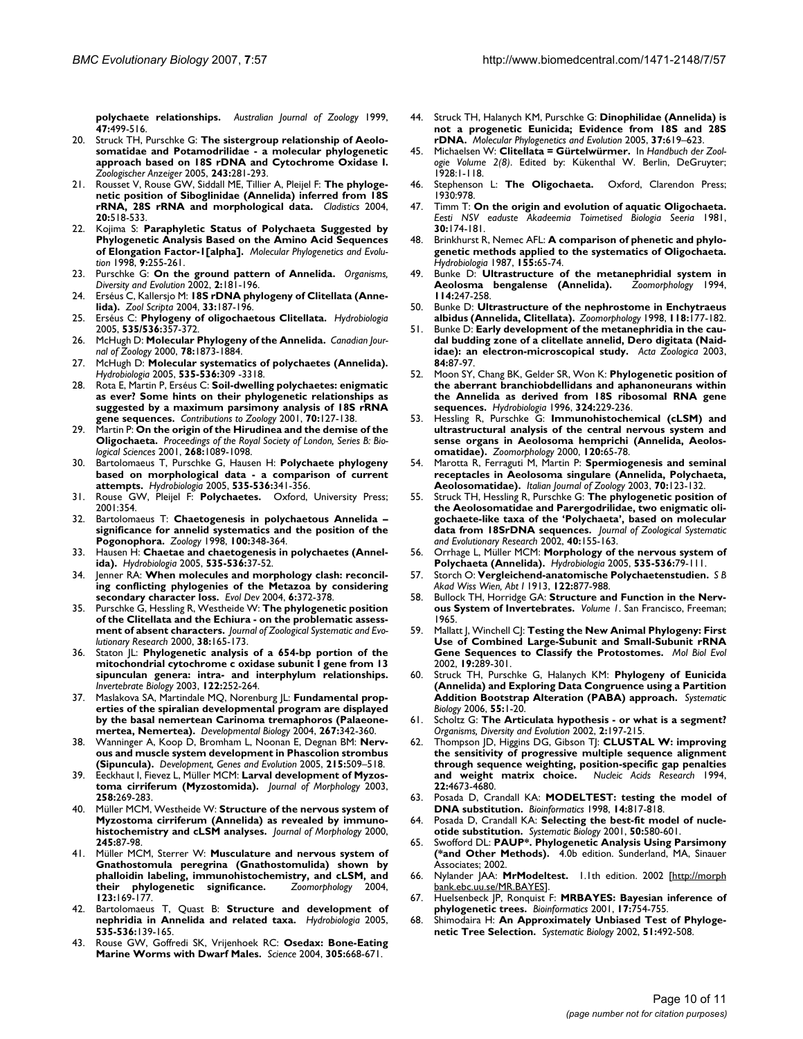**polychaete relationships.** *Australian Journal of Zoology* 1999, **47:**499-516.

- 20. Struck TH, Purschke G: **The sistergroup relationship of Aeolosomatidae and Potamodrilidae - a molecular phylogenetic approach based on 18S rDNA and Cytochrome Oxidase I.** *Zoologischer Anzeiger* 2005, **243:**281-293.
- 21. Rousset V, Rouse GW, Siddall ME, Tillier A, Pleijel F: **The phylogenetic position of Siboglinidae (Annelida) inferred from 18S rRNA, 28S rRNA and morphological data.** *Cladistics* 2004, **20:**518-533.
- 22. Kojima S: **Paraphyletic Status of Polychaeta Suggested by Phylogenetic Analysis Based on the Amino Acid Sequences of Elongation Factor-1[alpha].** *Molecular Phylogenetics and Evolution* 1998, **9:**255-261.
- 23. Purschke G: **On the ground pattern of Annelida.** *Organisms, Diversity and Evolution* 2002, **2:**181-196.
- Erséus C, Kallersjo M: 18S rDNA phylogeny of Clitellata (Anne**lida).** *Zool Scripta* 2004, **33:**187-196.
- 25. Erséus C: **Phylogeny of oligochaetous Clitellata.** *Hydrobiologia* 2005, **535/536:**357-372.
- 26. McHugh D: **Molecular Phylogeny of the Annelida.** *Canadian Journal of Zoology* 2000, **78:**1873-1884.
- 27. McHugh D: **Molecular systematics of polychaetes (Annelida).** *Hydrobiologia* 2005, **535-536:**309 -3318.
- 28. Rota E, Martin P, Erséus C: **Soil-dwelling polychaetes: enigmatic as ever? Some hints on their phylogenetic relationships as suggested by a maximum parsimony analysis of 18S rRNA gene sequences.** *Contributions to Zoology* 2001, **70:**127-138.
- 29. Martin P: **On the origin of the Hirudinea and the demise of the Oligochaeta.** *Proceedings of the Royal Society of London, Series B: Biological Sciences* 2001, **268:**1089-1098.
- 30. Bartolomaeus T, Purschke G, Hausen H: **Polychaete phylogeny based on morphological data - a comparison of current attempts.** *Hydrobiologia* 2005, **535-536:**341-356.
- 31. Rouse GW, Pleijel F: **Polychaetes.** Oxford, University Press; 2001:354.
- 32. Bartolomaeus T: **Chaetogenesis in polychaetous Annelida – significance for annelid systematics and the position of the Pogonophora.** *Zoology* 1998, **100:**348-364.
- 33. Hausen H: **Chaetae and chaetogenesis in polychaetes (Annelida).** *Hydrobiologia* 2005, **535-536:**37-52.
- 34. Jenner RA: **[When molecules and morphology clash: reconcil](http://www.ncbi.nlm.nih.gov/entrez/query.fcgi?cmd=Retrieve&db=PubMed&dopt=Abstract&list_uids=15330870)[ing conflicting phylogenies of the Metazoa by considering](http://www.ncbi.nlm.nih.gov/entrez/query.fcgi?cmd=Retrieve&db=PubMed&dopt=Abstract&list_uids=15330870) [secondary character loss.](http://www.ncbi.nlm.nih.gov/entrez/query.fcgi?cmd=Retrieve&db=PubMed&dopt=Abstract&list_uids=15330870)** *Evol Dev* 2004, **6:**372-378.
- 35. Purschke G, Hessling R, Westheide W: **The phylogenetic position of the Clitellata and the Echiura - on the problematic assessment of absent characters.** *Journal of Zoological Systematic and Evolutionary Research* 2000, **38:**165-173.
- 36. Staton JL: **Phylogenetic analysis of a 654-bp portion of the mitochondrial cytochrome c oxidase subunit I gene from 13 sipunculan genera: intra- and interphylum relationships.** *Invertebrate Biology* 2003, **122:**252-264.
- 37. Maslakova SA, Martindale MQ, Norenburg JL: **[Fundamental prop](http://www.ncbi.nlm.nih.gov/entrez/query.fcgi?cmd=Retrieve&db=PubMed&dopt=Abstract&list_uids=15013798)[erties of the spiralian developmental program are displayed](http://www.ncbi.nlm.nih.gov/entrez/query.fcgi?cmd=Retrieve&db=PubMed&dopt=Abstract&list_uids=15013798) by the basal nemertean Carinoma tremaphoros (Palaeone[mertea, Nemertea\).](http://www.ncbi.nlm.nih.gov/entrez/query.fcgi?cmd=Retrieve&db=PubMed&dopt=Abstract&list_uids=15013798)** *Developmental Biology* 2004, **267:**342-360.
- 38. Wanninger A, Koop D, Bromham L, Noonan E, Degnan BM: **Nervous and muscle system development in Phascolion strombus (Sipuncula).** *Development, Genes and Evolution* 2005, **215:**509–518.
- 39. Eeckhaut I, Fievez L, Müller MCM: **[Larval development of Myzos](http://www.ncbi.nlm.nih.gov/entrez/query.fcgi?cmd=Retrieve&db=PubMed&dopt=Abstract&list_uids=14584029)[toma cirriferum \(Myzostomida\).](http://www.ncbi.nlm.nih.gov/entrez/query.fcgi?cmd=Retrieve&db=PubMed&dopt=Abstract&list_uids=14584029)** *Journal of Morphology* 2003, **258:**269-283.
- 40. Müller MCM, Westheide W: **[Structure of the nervous system of](http://www.ncbi.nlm.nih.gov/entrez/query.fcgi?cmd=Retrieve&db=PubMed&dopt=Abstract&list_uids=10906744) [Myzostoma cirriferum \(Annelida\) as revealed by immuno](http://www.ncbi.nlm.nih.gov/entrez/query.fcgi?cmd=Retrieve&db=PubMed&dopt=Abstract&list_uids=10906744)[histochemistry and cLSM analyses.](http://www.ncbi.nlm.nih.gov/entrez/query.fcgi?cmd=Retrieve&db=PubMed&dopt=Abstract&list_uids=10906744)** *Journal of Morphology* 2000, **245:**87-98.
- 41. Müller MCM, Sterrer W: **Musculature and nervous system of Gnathostomula peregrina (Gnathostomulida) shown by phalloidin labeling, immunohistochemistry, and cLSM, and their phylogenetic significance.** *Zoomorphology* 2004, **123:**169-177.
- 42. Bartolomaeus T, Quast B: **Structure and development of nephridia in Annelida and related taxa.** *Hydrobiologia* 2005, **535-536:**139-165.
- 43. Rouse GW, Goffredi SK, Vrijenhoek RC: **[Osedax: Bone-Eating](http://www.ncbi.nlm.nih.gov/entrez/query.fcgi?cmd=Retrieve&db=PubMed&dopt=Abstract&list_uids=15286372) [Marine Worms with Dwarf Males.](http://www.ncbi.nlm.nih.gov/entrez/query.fcgi?cmd=Retrieve&db=PubMed&dopt=Abstract&list_uids=15286372)** *Science* 2004, **305:**668-671.
- 44. Struck TH, Halanych KM, Purschke G: **Dinophilidae (Annelida) is not a progenetic Eunicida; Evidence from 18S and 28S rDNA.** *Molecular Phylogenetics and Evolution* 2005, **37:**619–623.
- 45. Michaelsen W: **Clitellata = Gürtelwürmer.** In *Handbuch der Zoologie Volume 2(8)*. Edited by: Kükenthal W. Berlin, DeGruyter; 1928:1-118.
- 46. Stephenson L: **The Oligochaeta.** Oxford, Clarendon Press; 1930:978.
- 47. Timm T: **On the origin and evolution of aquatic Oligochaeta.** *Eesti NSV eaduste Akadeemia Toimetised Biologia Seeria* 1981, **30:**174-181.
- 48. Brinkhurst R, Nemec AFL: **A comparison of phenetic and phylogenetic methods applied to the systematics of Oligochaeta.** *Hydrobiologia* 1987, **155:**65-74.
- 49. Bunke D: **Ultrastructure of the metanephridial system in Aeolosma bengalense (Annelida).** *Zoomorphology* 1994, **114:**247-258.
- 50. Bunke D: **Ultrastructure of the nephrostome in Enchytraeus albidus (Annelida, Clitellata).** *Zoomorphology* 1998, **118:**177-182.
- 51. Bunke D: **Early development of the metanephridia in the caudal budding zone of a clitellate annelid, Dero digitata (Naididae): an electron-microscopical study.** *Acta Zoologica* 2003, **84:**87-97.
- 52. Moon SY, Chang BK, Gelder SR, Won K: **Phylogenetic position of the aberrant branchiobdellidans and aphanoneurans within the Annelida as derived from 18S ribosomal RNA gene sequences.** *Hydrobiologia* 1996, **324:**229-236.
- 53. Hessling R, Purschke G: **Immunohistochemical (cLSM) and ultrastructural analysis of the central nervous system and sense organs in Aeolosoma hemprichi (Annelida, Aeolosomatidae).** *Zoomorphology* 2000, **120:**65-78.
- 54. Marotta R, Ferraguti M, Martin P: **Spermiogenesis and seminal receptacles in Aeolosoma singulare (Annelida, Polychaeta, Aeolosomatidae).** *Italian Journal of Zoology* 2003, **70:**123-132.
- 55. Struck TH, Hessling R, Purschke G: **The phylogenetic position of the Aeolosomatidae and Parergodrilidae, two enigmatic oligochaete-like taxa of the 'Polychaeta', based on molecular data from 18SrDNA sequences.** *Journal of Zoological Systematic and Evolutionary Research* 2002, **40:**155-163.
- 56. Orrhage L, Müller MCM: **Morphology of the nervous system of Polychaeta (Annelida).** *Hydrobiologia* 2005, **535-536:**79-111.
- 57. Storch O: **Vergleichend-anatomische Polychaetenstudien.** *S B Akad Wiss Wien, Abt I* 1913, **122:**877-988.
- 58. Bullock TH, Horridge GA: **Structure and Function in the Nervous System of Invertebrates.** *Volume 1*. San Francisco, Freeman; 1965.
- 59. Mallatt J, Winchell CJ: **[Testing the New Animal Phylogeny: First](http://www.ncbi.nlm.nih.gov/entrez/query.fcgi?cmd=Retrieve&db=PubMed&dopt=Abstract&list_uids=11861888) [Use of Combined Large-Subunit and Small-Subunit rRNA](http://www.ncbi.nlm.nih.gov/entrez/query.fcgi?cmd=Retrieve&db=PubMed&dopt=Abstract&list_uids=11861888) [Gene Sequences to Classify the Protostomes.](http://www.ncbi.nlm.nih.gov/entrez/query.fcgi?cmd=Retrieve&db=PubMed&dopt=Abstract&list_uids=11861888)** *Mol Biol Evol* 2002, **19:**289-301.
- 60. Struck TH, Purschke G, Halanych KM: **[Phylogeny of Eunicida](http://www.ncbi.nlm.nih.gov/entrez/query.fcgi?cmd=Retrieve&db=PubMed&dopt=Abstract&list_uids=16507520) [\(Annelida\) and Exploring Data Congruence using a Partition](http://www.ncbi.nlm.nih.gov/entrez/query.fcgi?cmd=Retrieve&db=PubMed&dopt=Abstract&list_uids=16507520) [Addition Bootstrap Alteration \(PABA\) approach.](http://www.ncbi.nlm.nih.gov/entrez/query.fcgi?cmd=Retrieve&db=PubMed&dopt=Abstract&list_uids=16507520)** *Systematic Biology* 2006, **55:**1-20.
- 61. Scholtz G: **The Articulata hypothesis or what is a segment?** *Organisms, Diversity and Evolution* 2002, **2:**197-215.
- 62. Thompson JD, Higgins DG, Gibson TJ: **[CLUSTAL W: improving](http://www.ncbi.nlm.nih.gov/entrez/query.fcgi?cmd=Retrieve&db=PubMed&dopt=Abstract&list_uids=7984417) [the sensitivity of progressive multiple sequence alignment](http://www.ncbi.nlm.nih.gov/entrez/query.fcgi?cmd=Retrieve&db=PubMed&dopt=Abstract&list_uids=7984417) through sequence weighting, position-specific gap penalties** [and weight matrix choice.](http://www.ncbi.nlm.nih.gov/entrez/query.fcgi?cmd=Retrieve&db=PubMed&dopt=Abstract&list_uids=7984417) **22:**4673-4680.
- 63. Posada D, Crandall KA: **[MODELTEST: testing the model of](http://www.ncbi.nlm.nih.gov/entrez/query.fcgi?cmd=Retrieve&db=PubMed&dopt=Abstract&list_uids=9918953) [DNA substitution.](http://www.ncbi.nlm.nih.gov/entrez/query.fcgi?cmd=Retrieve&db=PubMed&dopt=Abstract&list_uids=9918953)** *Bioinformatics* 1998, **14:**817-818.
- 64. Posada D, Crandall KA: **[Selecting the best-fit model of nucle](http://www.ncbi.nlm.nih.gov/entrez/query.fcgi?cmd=Retrieve&db=PubMed&dopt=Abstract&list_uids=12116655)[otide substitution.](http://www.ncbi.nlm.nih.gov/entrez/query.fcgi?cmd=Retrieve&db=PubMed&dopt=Abstract&list_uids=12116655)** *Systematic Biology* 2001, **50:**580-601.
- 65. Swofford DL: **[PAUP\\*. Phylogenetic Analysis Using Parsimony](http://www.ncbi.nlm.nih.gov/entrez/query.fcgi?cmd=Retrieve&db=PubMed&dopt=Abstract&list_uids=12504223) [\(\\*and Other Methods\).](http://www.ncbi.nlm.nih.gov/entrez/query.fcgi?cmd=Retrieve&db=PubMed&dopt=Abstract&list_uids=12504223)** 4.0b edition. Sunderland, MA, Sinauer Associates; 2002.
- 66. Nylander JAA: **MrModeltest.** 1.1th edition. 2002 [[http://morph](http://morphbank.ebc.uu.se/MR.BAYES) [bank.ebc.uu.se/MR.BAYES](http://morphbank.ebc.uu.se/MR.BAYES)].
- 67. Huelsenbeck JP, Ronquist F: **[MRBAYES: Bayesian inference of](http://www.ncbi.nlm.nih.gov/entrez/query.fcgi?cmd=Retrieve&db=PubMed&dopt=Abstract&list_uids=11524383) [phylogenetic trees.](http://www.ncbi.nlm.nih.gov/entrez/query.fcgi?cmd=Retrieve&db=PubMed&dopt=Abstract&list_uids=11524383)** *Bioinformatics* 2001, **17:**754-755.
- 68. Shimodaira H: **[An Approximately Unbiased Test of Phyloge](http://www.ncbi.nlm.nih.gov/entrez/query.fcgi?cmd=Retrieve&db=PubMed&dopt=Abstract&list_uids=12079646)[netic Tree Selection.](http://www.ncbi.nlm.nih.gov/entrez/query.fcgi?cmd=Retrieve&db=PubMed&dopt=Abstract&list_uids=12079646)** *Systematic Biology* 2002, **51:**492-508.